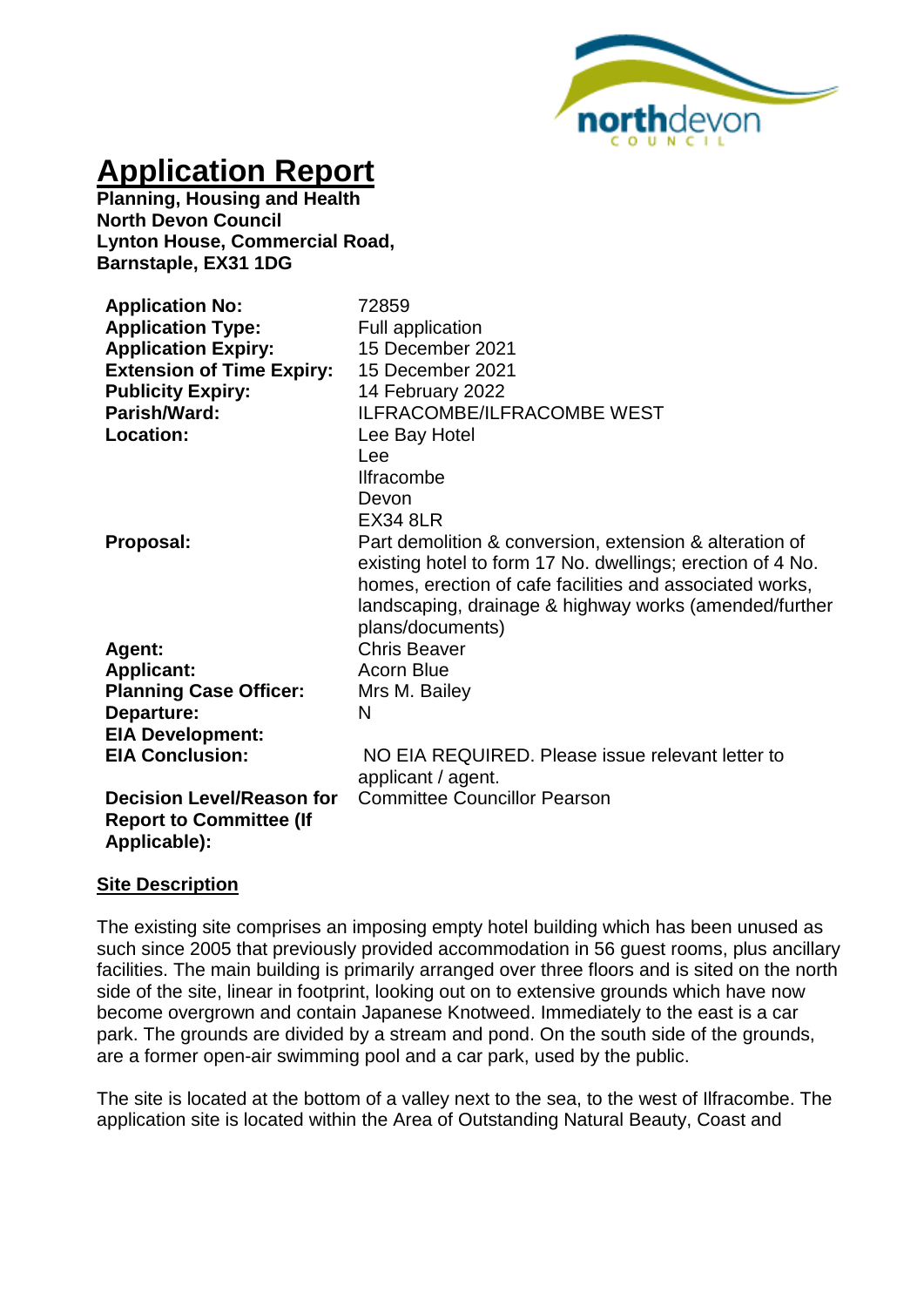

# **Application Report**

**Planning, Housing and Health North Devon Council Lynton House, Commercial Road, Barnstaple, EX31 1DG**

| <b>Application No:</b><br><b>Application Type:</b><br><b>Application Expiry:</b><br><b>Extension of Time Expiry:</b><br><b>Publicity Expiry:</b><br>Parish/Ward:<br><b>Location:</b> | 72859<br><b>Full application</b><br>15 December 2021<br>15 December 2021<br>14 February 2022<br><b>ILFRACOMBE/ILFRACOMBE WEST</b><br>Lee Bay Hotel<br>Lee<br><b>Ilfracombe</b><br>Devon<br><b>EX34 8LR</b>                                                      |
|--------------------------------------------------------------------------------------------------------------------------------------------------------------------------------------|-----------------------------------------------------------------------------------------------------------------------------------------------------------------------------------------------------------------------------------------------------------------|
| Proposal:                                                                                                                                                                            | Part demolition & conversion, extension & alteration of<br>existing hotel to form 17 No. dwellings; erection of 4 No.<br>homes, erection of cafe facilities and associated works,<br>landscaping, drainage & highway works (amended/further<br>plans/documents) |
| Agent:                                                                                                                                                                               | <b>Chris Beaver</b>                                                                                                                                                                                                                                             |
| <b>Applicant:</b>                                                                                                                                                                    | <b>Acorn Blue</b>                                                                                                                                                                                                                                               |
| <b>Planning Case Officer:</b>                                                                                                                                                        | Mrs M. Bailey                                                                                                                                                                                                                                                   |
| Departure:                                                                                                                                                                           | N                                                                                                                                                                                                                                                               |
| <b>EIA Development:</b>                                                                                                                                                              |                                                                                                                                                                                                                                                                 |
| <b>EIA Conclusion:</b>                                                                                                                                                               | NO EIA REQUIRED. Please issue relevant letter to<br>applicant / agent.                                                                                                                                                                                          |
| <b>Decision Level/Reason for</b><br><b>Report to Committee (If</b><br>Applicable):                                                                                                   | <b>Committee Councillor Pearson</b>                                                                                                                                                                                                                             |

#### **Site Description**

The existing site comprises an imposing empty hotel building which has been unused as such since 2005 that previously provided accommodation in 56 guest rooms, plus ancillary facilities. The main building is primarily arranged over three floors and is sited on the north side of the site, linear in footprint, looking out on to extensive grounds which have now become overgrown and contain Japanese Knotweed. Immediately to the east is a car park. The grounds are divided by a stream and pond. On the south side of the grounds, are a former open-air swimming pool and a car park, used by the public.

The site is located at the bottom of a valley next to the sea, to the west of Ilfracombe. The application site is located within the Area of Outstanding Natural Beauty, Coast and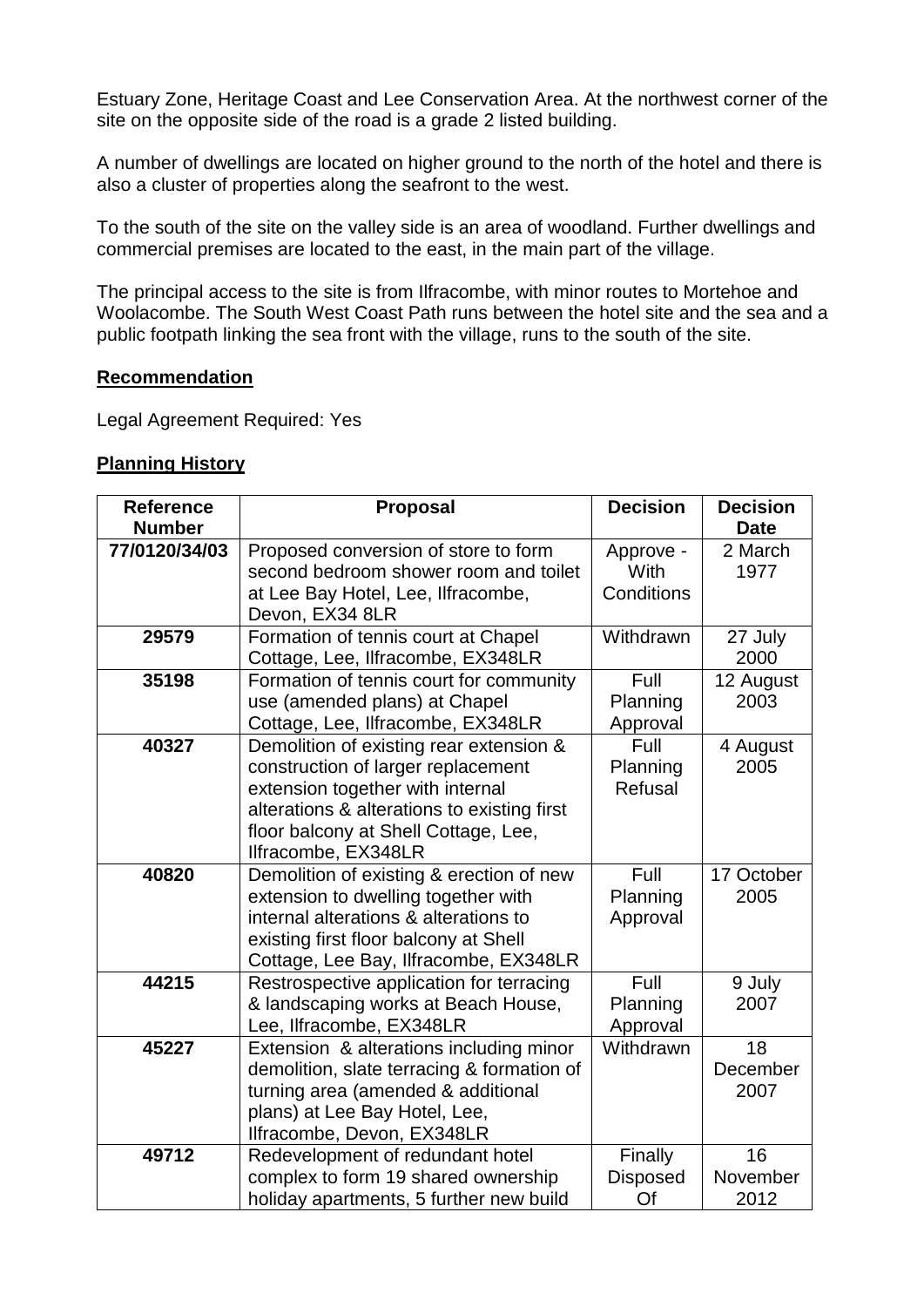Estuary Zone, Heritage Coast and Lee Conservation Area. At the northwest corner of the site on the opposite side of the road is a grade 2 listed building.

A number of dwellings are located on higher ground to the north of the hotel and there is also a cluster of properties along the seafront to the west.

To the south of the site on the valley side is an area of woodland. Further dwellings and commercial premises are located to the east, in the main part of the village.

The principal access to the site is from Ilfracombe, with minor routes to Mortehoe and Woolacombe. The South West Coast Path runs between the hotel site and the sea and a public footpath linking the sea front with the village, runs to the south of the site.

#### **Recommendation**

Legal Agreement Required: Yes

#### **Planning History**

| <b>Reference</b> | <b>Proposal</b>                             | <b>Decision</b> | <b>Decision</b> |
|------------------|---------------------------------------------|-----------------|-----------------|
| <b>Number</b>    |                                             |                 | <b>Date</b>     |
| 77/0120/34/03    | Proposed conversion of store to form        | Approve -       | 2 March         |
|                  | second bedroom shower room and toilet       | With            | 1977            |
|                  | at Lee Bay Hotel, Lee, Ilfracombe,          | Conditions      |                 |
|                  | Devon, EX34 8LR                             |                 |                 |
| 29579            | Formation of tennis court at Chapel         | Withdrawn       | 27 July         |
|                  | Cottage, Lee, Ilfracombe, EX348LR           |                 | 2000            |
| 35198            | Formation of tennis court for community     | Full            | 12 August       |
|                  | use (amended plans) at Chapel               | Planning        | 2003            |
|                  | Cottage, Lee, Ilfracombe, EX348LR           | Approval        |                 |
| 40327            | Demolition of existing rear extension &     | Full            | 4 August        |
|                  | construction of larger replacement          | Planning        | 2005            |
|                  | extension together with internal            | Refusal         |                 |
|                  | alterations & alterations to existing first |                 |                 |
|                  | floor balcony at Shell Cottage, Lee,        |                 |                 |
|                  | Ilfracombe, EX348LR                         |                 |                 |
| 40820            | Demolition of existing & erection of new    | Full            | 17 October      |
|                  | extension to dwelling together with         | Planning        | 2005            |
|                  | internal alterations & alterations to       | Approval        |                 |
|                  | existing first floor balcony at Shell       |                 |                 |
|                  | Cottage, Lee Bay, Ilfracombe, EX348LR       |                 |                 |
| 44215            | Restrospective application for terracing    | Full            | 9 July          |
|                  | & landscaping works at Beach House,         | Planning        | 2007            |
|                  | Lee, Ilfracombe, EX348LR                    | Approval        |                 |
| 45227            | Extension & alterations including minor     | Withdrawn       | 18              |
|                  | demolition, slate terracing & formation of  |                 | December        |
|                  | turning area (amended & additional          |                 | 2007            |
|                  | plans) at Lee Bay Hotel, Lee,               |                 |                 |
|                  | Ilfracombe, Devon, EX348LR                  |                 |                 |
| 49712            | Redevelopment of redundant hotel            | Finally         | 16              |
|                  | complex to form 19 shared ownership         | <b>Disposed</b> | November        |
|                  | holiday apartments, 5 further new build     | Of              | 2012            |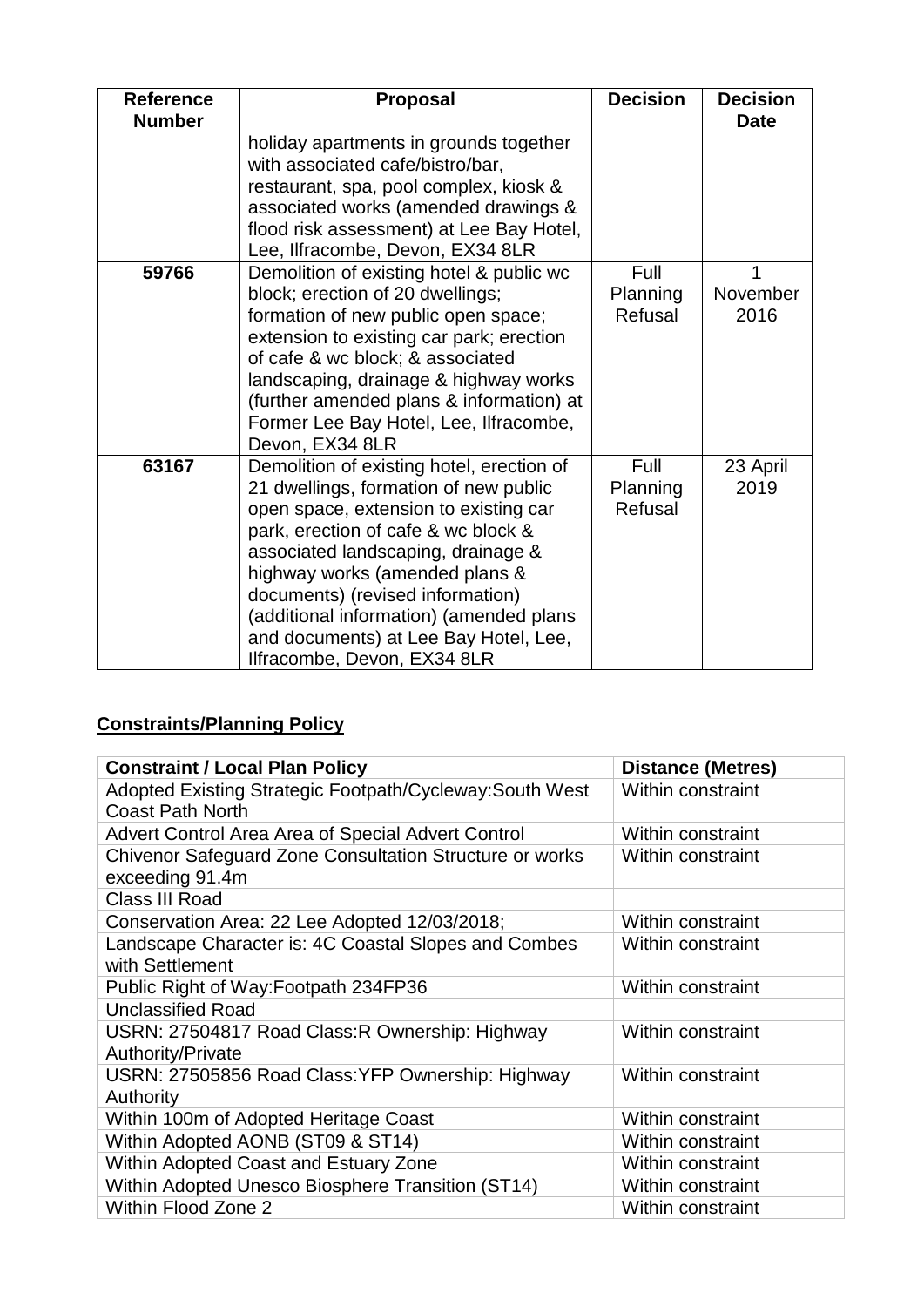| <b>Reference</b><br><b>Number</b> | <b>Proposal</b>                                                                                                                                                                                                                                                                                                                                                                                   | <b>Decision</b>             | <b>Decision</b><br><b>Date</b> |
|-----------------------------------|---------------------------------------------------------------------------------------------------------------------------------------------------------------------------------------------------------------------------------------------------------------------------------------------------------------------------------------------------------------------------------------------------|-----------------------------|--------------------------------|
|                                   | holiday apartments in grounds together<br>with associated cafe/bistro/bar,<br>restaurant, spa, pool complex, kiosk &<br>associated works (amended drawings &<br>flood risk assessment) at Lee Bay Hotel,<br>Lee, Ilfracombe, Devon, EX34 8LR                                                                                                                                                      |                             |                                |
| 59766                             | Demolition of existing hotel & public wc<br>block; erection of 20 dwellings;<br>formation of new public open space;<br>extension to existing car park; erection<br>of cafe & wc block; & associated<br>landscaping, drainage & highway works<br>(further amended plans & information) at<br>Former Lee Bay Hotel, Lee, Ilfracombe,<br>Devon, EX34 8LR                                             | Full<br>Planning<br>Refusal | November<br>2016               |
| 63167                             | Demolition of existing hotel, erection of<br>21 dwellings, formation of new public<br>open space, extension to existing car<br>park, erection of cafe & wc block &<br>associated landscaping, drainage &<br>highway works (amended plans &<br>documents) (revised information)<br>(additional information) (amended plans<br>and documents) at Lee Bay Hotel, Lee,<br>Ilfracombe, Devon, EX34 8LR | Full<br>Planning<br>Refusal | 23 April<br>2019               |

## **Constraints/Planning Policy**

| <b>Constraint / Local Plan Policy</b>                                               | <b>Distance (Metres)</b> |
|-------------------------------------------------------------------------------------|--------------------------|
| Adopted Existing Strategic Footpath/Cycleway: South West<br><b>Coast Path North</b> | Within constraint        |
| Advert Control Area Area of Special Advert Control                                  | Within constraint        |
| Chivenor Safeguard Zone Consultation Structure or works<br>exceeding 91.4m          | <b>Within constraint</b> |
| Class III Road                                                                      |                          |
| Conservation Area: 22 Lee Adopted 12/03/2018;                                       | Within constraint        |
| Landscape Character is: 4C Coastal Slopes and Combes<br>with Settlement             | <b>Within constraint</b> |
| Public Right of Way: Footpath 234FP36                                               | <b>Within constraint</b> |
| <b>Unclassified Road</b>                                                            |                          |
| USRN: 27504817 Road Class: R Ownership: Highway<br>Authority/Private                | Within constraint        |
| USRN: 27505856 Road Class: YFP Ownership: Highway<br>Authority                      | <b>Within constraint</b> |
| Within 100m of Adopted Heritage Coast                                               | Within constraint        |
| Within Adopted AONB (ST09 & ST14)                                                   | Within constraint        |
| Within Adopted Coast and Estuary Zone                                               | Within constraint        |
| Within Adopted Unesco Biosphere Transition (ST14)                                   | Within constraint        |
| <b>Within Flood Zone 2</b>                                                          | Within constraint        |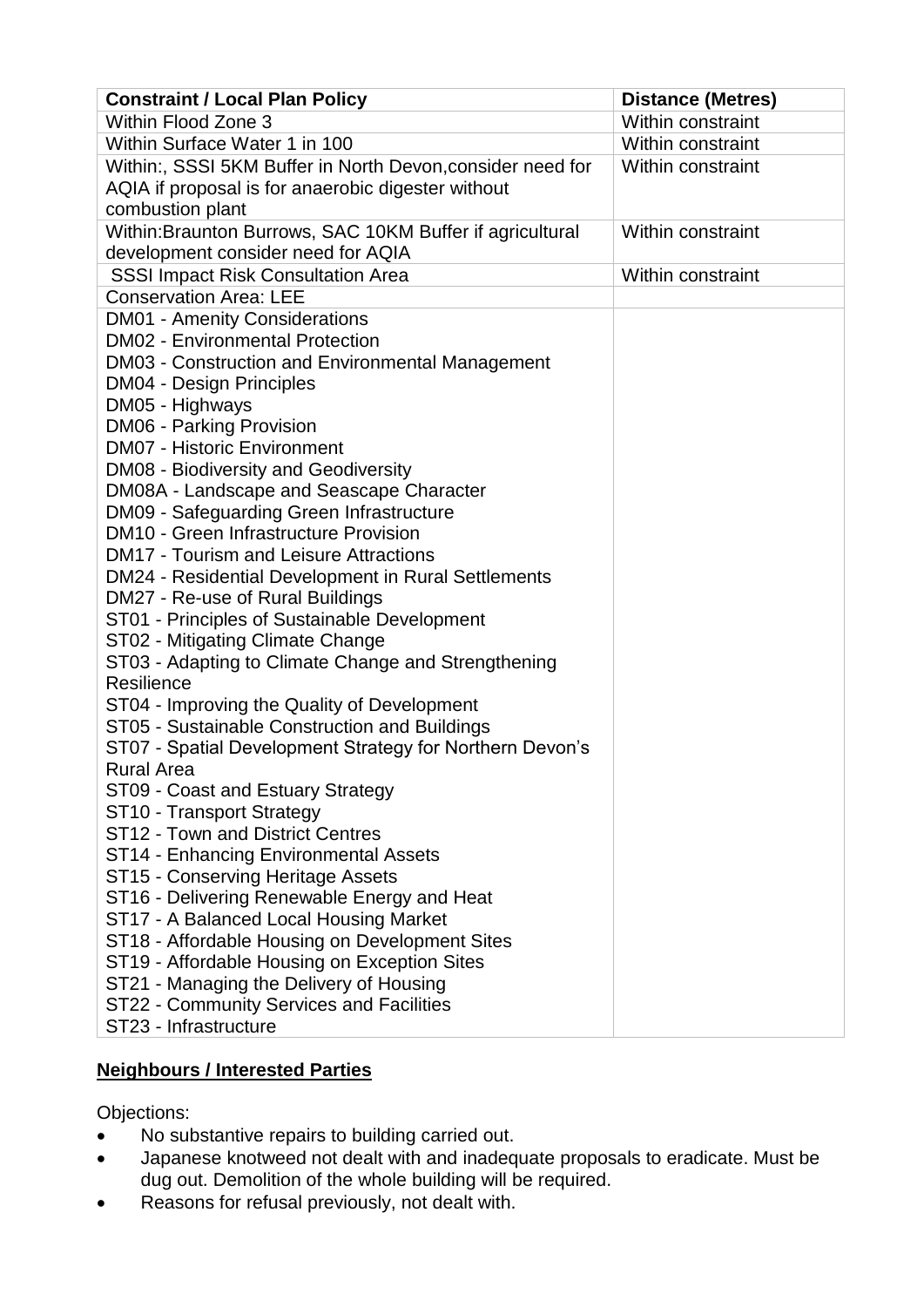| Within Flood Zone 3<br>Within constraint<br>Within Surface Water 1 in 100<br>Within constraint<br>Within:, SSSI 5KM Buffer in North Devon, consider need for<br>Within constraint<br>AQIA if proposal is for anaerobic digester without<br>combustion plant<br>Within: Braunton Burrows, SAC 10KM Buffer if agricultural<br>Within constraint<br>development consider need for AQIA<br><b>SSSI Impact Risk Consultation Area</b><br>Within constraint<br><b>Conservation Area: LEE</b><br><b>DM01 - Amenity Considerations</b><br><b>DM02 - Environmental Protection</b><br>DM03 - Construction and Environmental Management |
|------------------------------------------------------------------------------------------------------------------------------------------------------------------------------------------------------------------------------------------------------------------------------------------------------------------------------------------------------------------------------------------------------------------------------------------------------------------------------------------------------------------------------------------------------------------------------------------------------------------------------|
|                                                                                                                                                                                                                                                                                                                                                                                                                                                                                                                                                                                                                              |
|                                                                                                                                                                                                                                                                                                                                                                                                                                                                                                                                                                                                                              |
|                                                                                                                                                                                                                                                                                                                                                                                                                                                                                                                                                                                                                              |
|                                                                                                                                                                                                                                                                                                                                                                                                                                                                                                                                                                                                                              |
|                                                                                                                                                                                                                                                                                                                                                                                                                                                                                                                                                                                                                              |
|                                                                                                                                                                                                                                                                                                                                                                                                                                                                                                                                                                                                                              |
|                                                                                                                                                                                                                                                                                                                                                                                                                                                                                                                                                                                                                              |
|                                                                                                                                                                                                                                                                                                                                                                                                                                                                                                                                                                                                                              |
|                                                                                                                                                                                                                                                                                                                                                                                                                                                                                                                                                                                                                              |
|                                                                                                                                                                                                                                                                                                                                                                                                                                                                                                                                                                                                                              |
|                                                                                                                                                                                                                                                                                                                                                                                                                                                                                                                                                                                                                              |
|                                                                                                                                                                                                                                                                                                                                                                                                                                                                                                                                                                                                                              |
| <b>DM04 - Design Principles</b>                                                                                                                                                                                                                                                                                                                                                                                                                                                                                                                                                                                              |
| DM05 - Highways                                                                                                                                                                                                                                                                                                                                                                                                                                                                                                                                                                                                              |
| <b>DM06 - Parking Provision</b>                                                                                                                                                                                                                                                                                                                                                                                                                                                                                                                                                                                              |
| <b>DM07 - Historic Environment</b>                                                                                                                                                                                                                                                                                                                                                                                                                                                                                                                                                                                           |
| DM08 - Biodiversity and Geodiversity                                                                                                                                                                                                                                                                                                                                                                                                                                                                                                                                                                                         |
| DM08A - Landscape and Seascape Character                                                                                                                                                                                                                                                                                                                                                                                                                                                                                                                                                                                     |
| DM09 - Safeguarding Green Infrastructure                                                                                                                                                                                                                                                                                                                                                                                                                                                                                                                                                                                     |
| <b>DM10 - Green Infrastructure Provision</b>                                                                                                                                                                                                                                                                                                                                                                                                                                                                                                                                                                                 |
| <b>DM17 - Tourism and Leisure Attractions</b>                                                                                                                                                                                                                                                                                                                                                                                                                                                                                                                                                                                |
| DM24 - Residential Development in Rural Settlements                                                                                                                                                                                                                                                                                                                                                                                                                                                                                                                                                                          |
| DM27 - Re-use of Rural Buildings                                                                                                                                                                                                                                                                                                                                                                                                                                                                                                                                                                                             |
| ST01 - Principles of Sustainable Development                                                                                                                                                                                                                                                                                                                                                                                                                                                                                                                                                                                 |
| ST02 - Mitigating Climate Change                                                                                                                                                                                                                                                                                                                                                                                                                                                                                                                                                                                             |
| ST03 - Adapting to Climate Change and Strengthening                                                                                                                                                                                                                                                                                                                                                                                                                                                                                                                                                                          |
| Resilience                                                                                                                                                                                                                                                                                                                                                                                                                                                                                                                                                                                                                   |
| ST04 - Improving the Quality of Development                                                                                                                                                                                                                                                                                                                                                                                                                                                                                                                                                                                  |
| ST05 - Sustainable Construction and Buildings                                                                                                                                                                                                                                                                                                                                                                                                                                                                                                                                                                                |
| ST07 - Spatial Development Strategy for Northern Devon's                                                                                                                                                                                                                                                                                                                                                                                                                                                                                                                                                                     |
| <b>Rural Area</b>                                                                                                                                                                                                                                                                                                                                                                                                                                                                                                                                                                                                            |
| ST09 - Coast and Estuary Strategy                                                                                                                                                                                                                                                                                                                                                                                                                                                                                                                                                                                            |
| ST10 - Transport Strategy                                                                                                                                                                                                                                                                                                                                                                                                                                                                                                                                                                                                    |
| ST12 - Town and District Centres                                                                                                                                                                                                                                                                                                                                                                                                                                                                                                                                                                                             |
| ST14 - Enhancing Environmental Assets                                                                                                                                                                                                                                                                                                                                                                                                                                                                                                                                                                                        |
| ST15 - Conserving Heritage Assets                                                                                                                                                                                                                                                                                                                                                                                                                                                                                                                                                                                            |
| ST16 - Delivering Renewable Energy and Heat                                                                                                                                                                                                                                                                                                                                                                                                                                                                                                                                                                                  |
| ST17 - A Balanced Local Housing Market                                                                                                                                                                                                                                                                                                                                                                                                                                                                                                                                                                                       |
| ST18 - Affordable Housing on Development Sites                                                                                                                                                                                                                                                                                                                                                                                                                                                                                                                                                                               |
| ST19 - Affordable Housing on Exception Sites<br>ST21 - Managing the Delivery of Housing                                                                                                                                                                                                                                                                                                                                                                                                                                                                                                                                      |
| ST22 - Community Services and Facilities                                                                                                                                                                                                                                                                                                                                                                                                                                                                                                                                                                                     |
| ST23 - Infrastructure                                                                                                                                                                                                                                                                                                                                                                                                                                                                                                                                                                                                        |

## **Neighbours / Interested Parties**

Objections:

- No substantive repairs to building carried out.
- Japanese knotweed not dealt with and inadequate proposals to eradicate. Must be dug out. Demolition of the whole building will be required.
- Reasons for refusal previously, not dealt with.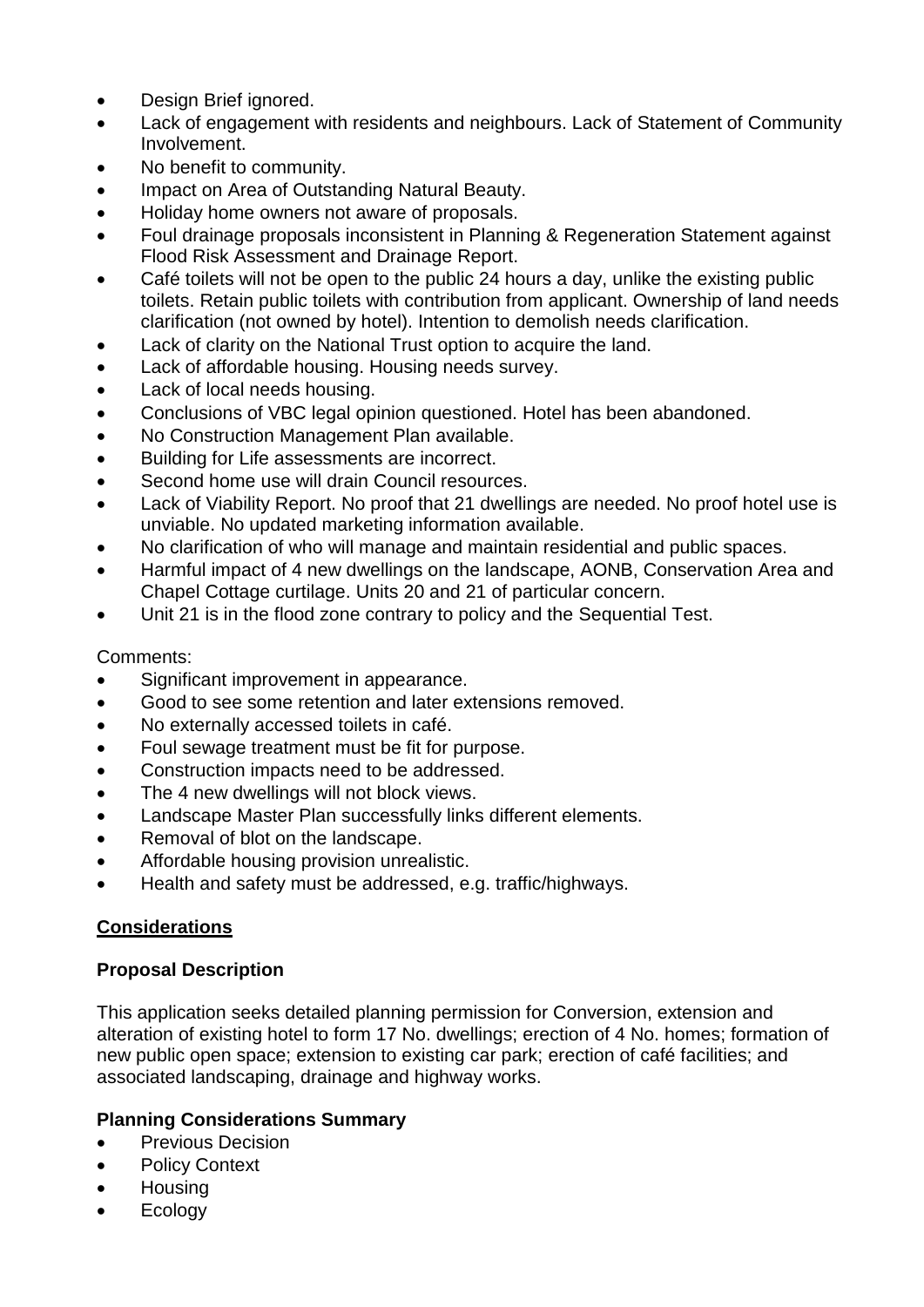- Design Brief ignored.
- Lack of engagement with residents and neighbours. Lack of Statement of Community Involvement.
- No benefit to community.
- Impact on Area of Outstanding Natural Beauty.
- Holiday home owners not aware of proposals.
- Foul drainage proposals inconsistent in Planning & Regeneration Statement against Flood Risk Assessment and Drainage Report.
- Café toilets will not be open to the public 24 hours a day, unlike the existing public toilets. Retain public toilets with contribution from applicant. Ownership of land needs clarification (not owned by hotel). Intention to demolish needs clarification.
- Lack of clarity on the National Trust option to acquire the land.
- Lack of affordable housing. Housing needs survey.
- Lack of local needs housing.
- Conclusions of VBC legal opinion questioned. Hotel has been abandoned.
- No Construction Management Plan available.
- Building for Life assessments are incorrect.
- Second home use will drain Council resources.
- Lack of Viability Report. No proof that 21 dwellings are needed. No proof hotel use is unviable. No updated marketing information available.
- No clarification of who will manage and maintain residential and public spaces.
- Harmful impact of 4 new dwellings on the landscape, AONB, Conservation Area and Chapel Cottage curtilage. Units 20 and 21 of particular concern.
- Unit 21 is in the flood zone contrary to policy and the Sequential Test.

### Comments:

- Significant improvement in appearance.
- Good to see some retention and later extensions removed.
- No externally accessed toilets in café.
- Foul sewage treatment must be fit for purpose.
- Construction impacts need to be addressed.
- The 4 new dwellings will not block views.
- Landscape Master Plan successfully links different elements.
- Removal of blot on the landscape.
- Affordable housing provision unrealistic.
- Health and safety must be addressed, e.g. traffic/highways.

### **Considerations**

### **Proposal Description**

This application seeks detailed planning permission for Conversion, extension and alteration of existing hotel to form 17 No. dwellings; erection of 4 No. homes; formation of new public open space; extension to existing car park; erection of café facilities; and associated landscaping, drainage and highway works.

### **Planning Considerations Summary**

- Previous Decision
- Policy Context
- Housing
- Ecology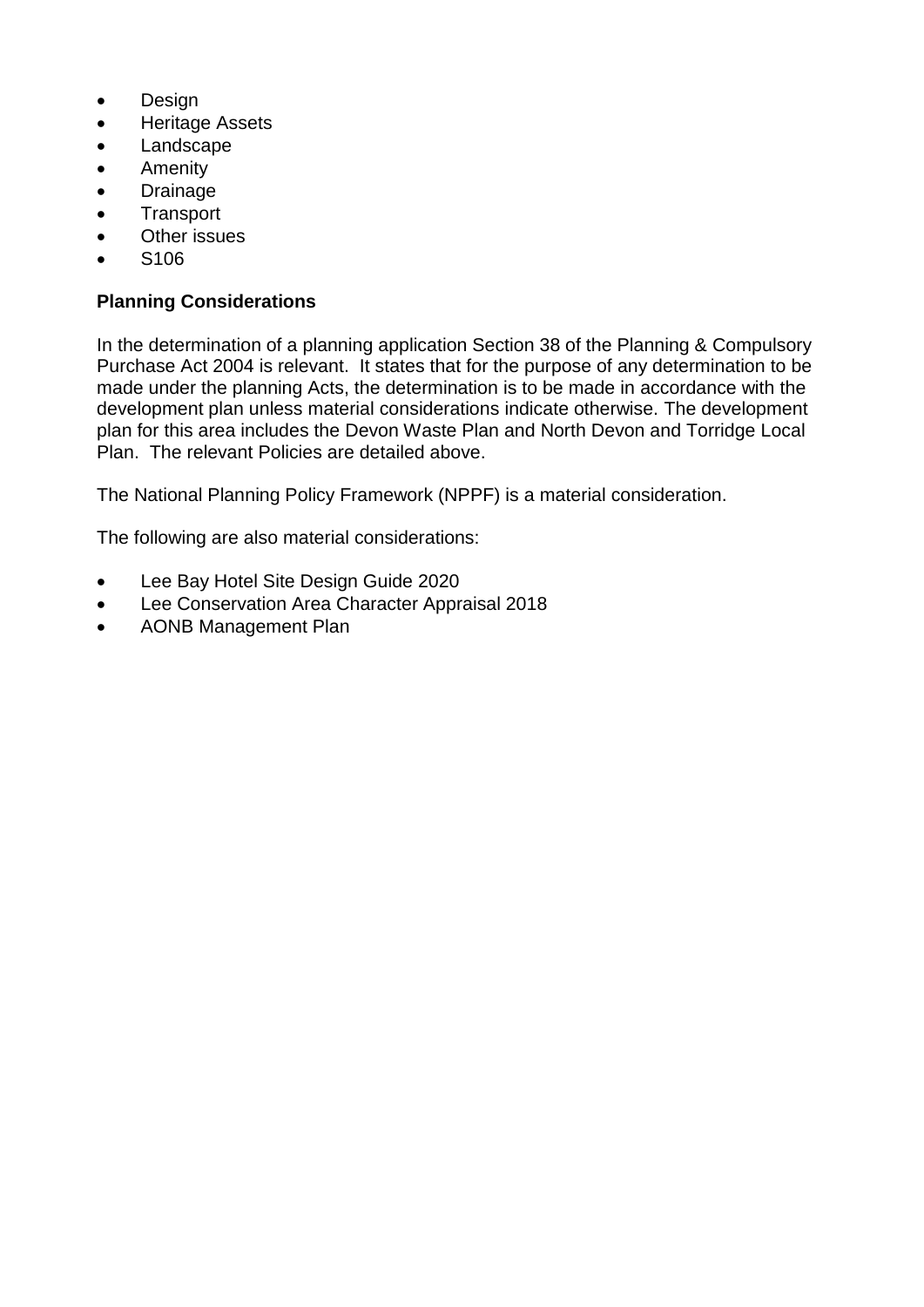- Design
- Heritage Assets
- Landscape
- Amenity
- Drainage
- Transport
- Other issues
- S106

## **Planning Considerations**

In the determination of a planning application Section 38 of the Planning & Compulsory Purchase Act 2004 is relevant. It states that for the purpose of any determination to be made under the planning Acts, the determination is to be made in accordance with the development plan unless material considerations indicate otherwise. The development plan for this area includes the Devon Waste Plan and North Devon and Torridge Local Plan. The relevant Policies are detailed above.

The National Planning Policy Framework (NPPF) is a material consideration.

The following are also material considerations:

- Lee Bay Hotel Site Design Guide 2020
- Lee Conservation Area Character Appraisal 2018
- AONB Management Plan